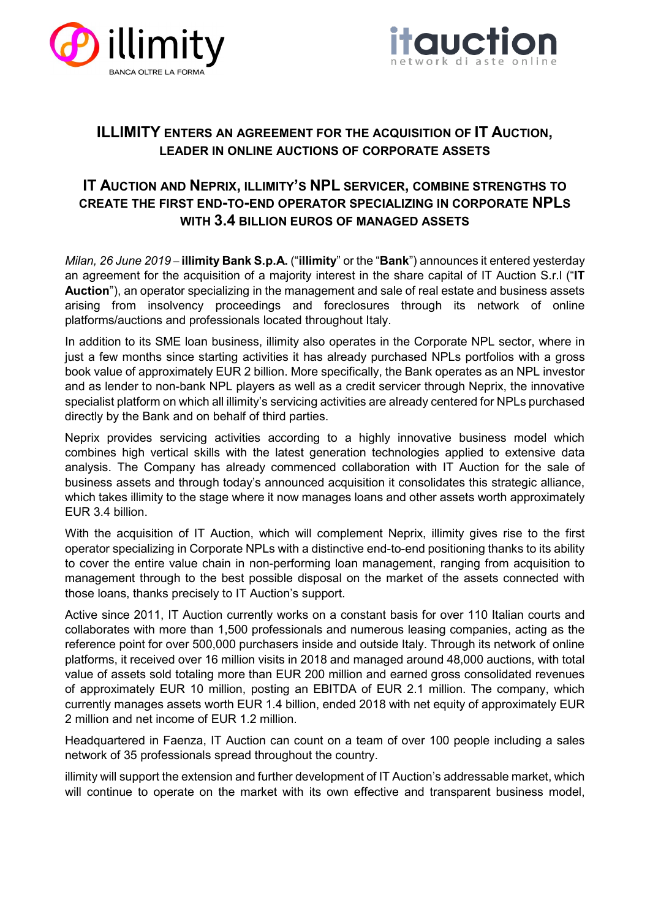



## **ILLIMITY ENTERS AN AGREEMENT FOR THE ACQUISITION OF IT AUCTION, LEADER IN ONLINE AUCTIONS OF CORPORATE ASSETS**

## **IT AUCTION AND NEPRIX, ILLIMITY'S NPL SERVICER, COMBINE STRENGTHS TO CREATE THE FIRST END-TO-END OPERATOR SPECIALIZING IN CORPORATE NPLS WITH 3.4 BILLION EUROS OF MANAGED ASSETS**

*Milan, 26 June 2019* – **illimity Bank S.p.A.** ("**illimity**" or the "**Bank**") announces it entered yesterday an agreement for the acquisition of a majority interest in the share capital of IT Auction S.r.l ("**IT Auction**"), an operator specializing in the management and sale of real estate and business assets arising from insolvency proceedings and foreclosures through its network of online platforms/auctions and professionals located throughout Italy.

In addition to its SME loan business, illimity also operates in the Corporate NPL sector, where in just a few months since starting activities it has already purchased NPLs portfolios with a gross book value of approximately EUR 2 billion. More specifically, the Bank operates as an NPL investor and as lender to non-bank NPL players as well as a credit servicer through Neprix, the innovative specialist platform on which all illimity's servicing activities are already centered for NPLs purchased directly by the Bank and on behalf of third parties.

Neprix provides servicing activities according to a highly innovative business model which combines high vertical skills with the latest generation technologies applied to extensive data analysis. The Company has already commenced collaboration with IT Auction for the sale of business assets and through today's announced acquisition it consolidates this strategic alliance, which takes illimity to the stage where it now manages loans and other assets worth approximately EUR 3.4 billion.

With the acquisition of IT Auction, which will complement Neprix, illimity gives rise to the first operator specializing in Corporate NPLs with a distinctive end-to-end positioning thanks to its ability to cover the entire value chain in non-performing loan management, ranging from acquisition to management through to the best possible disposal on the market of the assets connected with those loans, thanks precisely to IT Auction's support.

Active since 2011, IT Auction currently works on a constant basis for over 110 Italian courts and collaborates with more than 1,500 professionals and numerous leasing companies, acting as the reference point for over 500,000 purchasers inside and outside Italy. Through its network of online platforms, it received over 16 million visits in 2018 and managed around 48,000 auctions, with total value of assets sold totaling more than EUR 200 million and earned gross consolidated revenues of approximately EUR 10 million, posting an EBITDA of EUR 2.1 million. The company, which currently manages assets worth EUR 1.4 billion, ended 2018 with net equity of approximately EUR 2 million and net income of EUR 1.2 million.

Headquartered in Faenza, IT Auction can count on a team of over 100 people including a sales network of 35 professionals spread throughout the country.

illimity will support the extension and further development of IT Auction's addressable market, which will continue to operate on the market with its own effective and transparent business model,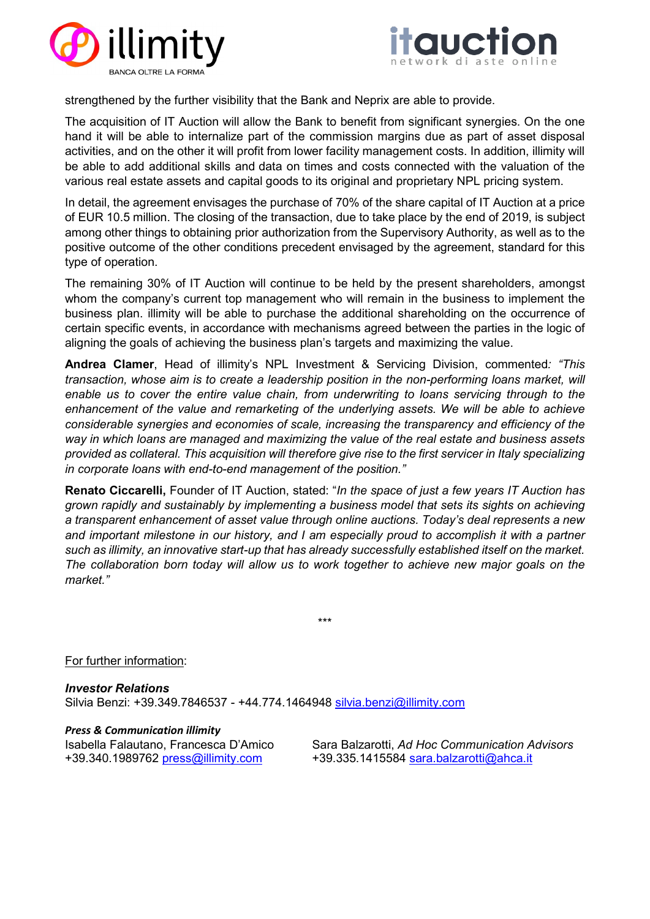



strengthened by the further visibility that the Bank and Neprix are able to provide.

The acquisition of IT Auction will allow the Bank to benefit from significant synergies. On the one hand it will be able to internalize part of the commission margins due as part of asset disposal activities, and on the other it will profit from lower facility management costs. In addition, illimity will be able to add additional skills and data on times and costs connected with the valuation of the various real estate assets and capital goods to its original and proprietary NPL pricing system.

In detail, the agreement envisages the purchase of 70% of the share capital of IT Auction at a price of EUR 10.5 million. The closing of the transaction, due to take place by the end of 2019, is subject among other things to obtaining prior authorization from the Supervisory Authority, as well as to the positive outcome of the other conditions precedent envisaged by the agreement, standard for this type of operation.

The remaining 30% of IT Auction will continue to be held by the present shareholders, amongst whom the company's current top management who will remain in the business to implement the business plan. illimity will be able to purchase the additional shareholding on the occurrence of certain specific events, in accordance with mechanisms agreed between the parties in the logic of aligning the goals of achieving the business plan's targets and maximizing the value.

**Andrea Clamer**, Head of illimity's NPL Investment & Servicing Division, commented*: "This transaction, whose aim is to create a leadership position in the non-performing loans market, will enable us to cover the entire value chain, from underwriting to loans servicing through to the enhancement of the value and remarketing of the underlying assets. We will be able to achieve considerable synergies and economies of scale, increasing the transparency and efficiency of the way in which loans are managed and maximizing the value of the real estate and business assets provided as collateral. This acquisition will therefore give rise to the first servicer in Italy specializing in corporate loans with end-to-end management of the position."*

**Renato Ciccarelli,** Founder of IT Auction, stated: "*In the space of just a few years IT Auction has grown rapidly and sustainably by implementing a business model that sets its sights on achieving a transparent enhancement of asset value through online auctions. Today's deal represents a new and important milestone in our history, and I am especially proud to accomplish it with a partner such as illimity, an innovative start-up that has already successfully established itself on the market. The collaboration born today will allow us to work together to achieve new major goals on the market."*

\*\*\*

For further information:

*Investor Relations* Silvia Benzi: +39.349.7846537 - +44.774.1464948 [silvia.benzi@illimity.com](mailto:silvia.benzi@illimity.com)

*Press & Communication illimity*

Isabella Falautano, Francesca D'Amico Sara Balzarotti, *Ad Hoc Communication Advisors* +39.340.1989762 [press@illimity.com](mailto:press@illimity.com) +39.335.1415584 [sara.balzarotti@ahca.it](mailto:sara.balzarotti@ahca.it)